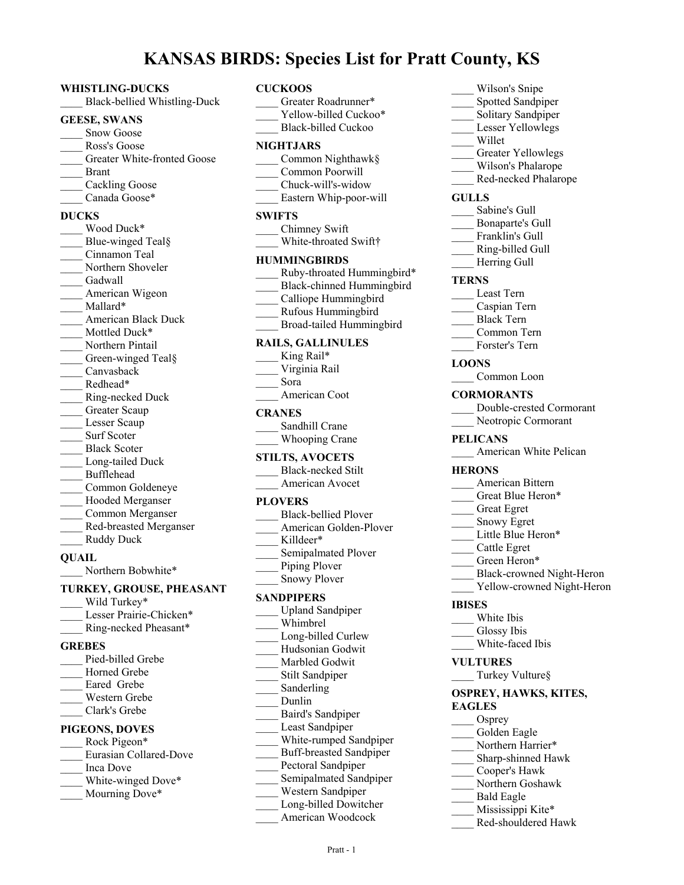# **KANSAS BIRDS: Species List for Pratt County, KS**

#### **WHISTLING-DUCKS**

\_\_\_\_ Black-bellied Whistling-Duck

#### **GEESE, SWANS**

- Snow Goose Ross's Goose Greater White-fronted Goose
- \_\_\_\_ Brant
- Cackling Goose
- Canada Goose\*

## **DUCKS**

Wood Duck\* Blue-winged Teal§ \_\_\_\_ Cinnamon Teal Northern Shoveler Gadwall American Wigeon Mallard\* \_\_\_\_ American Black Duck Mottled Duck\* Northern Pintail Green-winged Teal§ \_\_\_\_ Canvasback Redhead\* \_\_\_\_ Ring-necked Duck Greater Scaup Lesser Scaup Surf Scoter Black Scoter Long-tailed Duck \_\_\_\_ Bufflehead \_\_\_\_ Common Goldeneye Hooded Merganser \_\_\_\_ Common Merganser \_\_\_\_ Red-breasted Merganser Ruddy Duck

#### **QUAIL**

Northern Bobwhite\*

## **TURKEY, GROUSE, PHEASANT** Wild Turkey\*

- Lesser Prairie-Chicken\*
- \_\_\_\_ Ring-necked Pheasant\*

## **GREBES**

Pied-billed Grebe Horned Grebe Eared Grebe \_\_\_\_ Western Grebe \_\_\_\_ Clark's Grebe

## **PIGEONS, DOVES**

- Rock Pigeon\* \_\_\_\_ Eurasian Collared-Dove \_\_\_\_ Inca Dove
- White-winged Dove\*
- Mourning Dove\*

## **CUCKOOS**

- Greater Roadrunner\* Yellow-billed Cuckoo\* \_\_\_\_ Black-billed Cuckoo **NIGHTJARS** \_\_\_\_ Common Nighthawk§ \_\_\_\_ Common Poorwill \_\_\_\_ Chuck-will's-widow \_\_\_\_ Eastern Whip-poor-will **SWIFTS** \_\_\_\_ Chimney Swift White-throated Swift† **HUMMINGBIRDS** Ruby-throated Hummingbird\* \_\_\_\_ Black-chinned Hummingbird Calliope Hummingbird \_\_\_\_ Rufous Hummingbird \_\_\_\_ Broad-tailed Hummingbird **RAILS, GALLINULES** King Rail\* \_\_\_\_ Virginia Rail \_\_\_\_ Sora American Coot **CRANES** Sandhill Crane Whooping Crane **STILTS, AVOCETS** \_\_\_\_ Black-necked Stilt American Avocet **PLOVERS** \_\_\_\_ Black-bellied Plover American Golden-Plover Killdeer\* Semipalmated Plover Piping Plover Snowy Plover **SANDPIPERS** Upland Sandpiper \_\_\_\_ Whimbrel Long-billed Curlew \_\_\_\_ Hudsonian Godwit Marbled Godwit Stilt Sandpiper Sanderling \_\_\_\_ Dunlin \_\_\_\_ Baird's Sandpiper Least Sandpiper White-rumped Sandpiper \_\_\_\_ Buff-breasted Sandpiper Pectoral Sandpiper Semipalmated Sandpiper \_\_\_\_ Western Sandpiper Long-billed Dowitcher \_\_\_\_ American Woodcock
- \_\_\_\_ Wilson's Snipe Spotted Sandpiper
- Solitary Sandpiper
- Lesser Yellowlegs
- \_\_\_\_ Willet
- Greater Yellowlegs
- \_\_\_\_ Wilson's Phalarope
- Red-necked Phalarope

## **GULLS**

- Sabine's Gull
- \_\_\_\_ Bonaparte's Gull
- Franklin's Gull
- \_\_\_\_ Ring-billed Gull
- Herring Gull

### **TERNS**

- \_\_\_\_ Least Tern
- \_\_\_\_ Caspian Tern
- \_\_\_\_ Black Tern
- \_\_\_\_ Common Tern
- Forster's Tern

## **LOONS**

Common Loon

### **CORMORANTS**

- \_\_\_\_ Double-crested Cormorant
- Neotropic Cormorant

## **PELICANS**

\_\_\_\_ American White Pelican

## **HERONS**

- \_\_\_\_ American Bittern
- Great Blue Heron\*
- \_\_\_\_ Great Egret
- \_\_\_\_ Snowy Egret
- Little Blue Heron\*
- \_\_\_\_ Cattle Egret
- Green Heron\*
- \_\_\_\_ Black-crowned Night-Heron
- Yellow-crowned Night-Heron

## **IBISES**

- \_\_\_\_ White Ibis
- Glossy Ibis
- White-faced Ibis
- **VULTURES**
- \_\_\_\_ Turkey Vulture§

#### **OSPREY, HAWKS, KITES, EAGLES**

- Osprey
- Golden Eagle
- Northern Harrier\*
- \_\_\_\_ Sharp-shinned Hawk
- \_\_\_\_ Cooper's Hawk
- \_\_\_\_ Northern Goshawk
- \_\_\_\_ Bald Eagle
- Mississippi Kite\* \_\_\_\_ Red-shouldered Hawk
-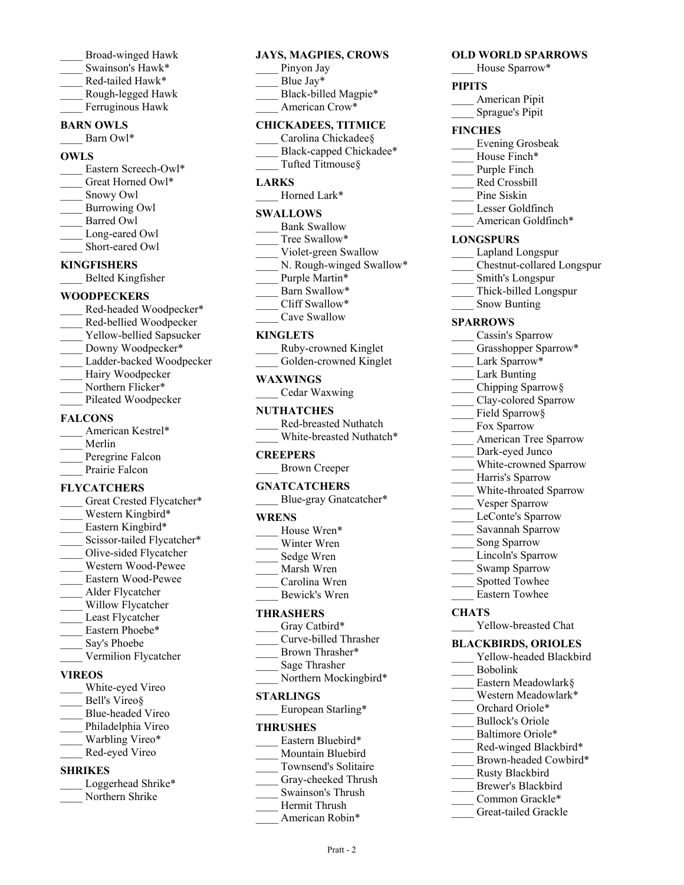- \_\_\_\_ Broad-winged Hawk
- Swainson's Hawk\*
- \_\_\_\_ Red-tailed Hawk\*
- \_\_\_\_ Rough-legged Hawk

# Ferruginous Hawk

## **BARN OWLS**

Barn Owl\*

## **OWLS**

- Eastern Screech-Owl\* Great Horned Owl\* \_\_\_\_ Snowy Owl \_\_\_\_ Burrowing Owl \_\_\_\_ Barred Owl Long-eared Owl
- Short-eared Owl

## **KINGFISHERS**

\_\_\_\_ Belted Kingfisher

## **WOODPECKERS**

- Red-headed Woodpecker\* \_\_\_\_ Red-bellied Woodpecker Yellow-bellied Sapsucker Downy Woodpecker\* Ladder-backed Woodpecker Hairy Woodpecker
- Northern Flicker\*
- Pileated Woodpecker

## **FALCONS**

| American Kestrel* |
|-------------------|
| Merlin            |
| Peregrine Falcon  |
| Prairie Falcon    |
|                   |

## **FLYCATCHERS**

Great Crested Flycatcher\* Western Kingbird\* Eastern Kingbird\* Scissor-tailed Flycatcher\* \_\_\_\_ Olive-sided Flycatcher \_\_\_\_ Western Wood-Pewee \_\_\_\_ Eastern Wood-Pewee \_\_\_\_ Alder Flycatcher Willow Flycatcher Least Flycatcher Eastern Phoebe\* Say's Phoebe \_\_\_\_ Vermilion Flycatcher

## **VIREOS**

- White-eyed Vireo Bell's Vireo§ \_\_\_\_ Blue-headed Vireo Philadelphia Vireo Warbling Vireo\* Red-eyed Vireo **SHRIKES**
- Loggerhead Shrike\* Northern Shrike

## **JAYS, MAGPIES, CROWS**

- Pinyon Jay
- Blue Jay\*
- Black-billed Magpie\*
- American Crow\*

## **CHICKADEES, TITMICE**

- Carolina Chickadee§ Black-capped Chickadee\*
- Tufted Titmouse§

## **LARKS**

Horned Lark\*

## **SWALLOWS**

- Bank Swallow Tree Swallow\* Violet-green Swallow N. Rough-winged Swallow\* Purple Martin\* Barn Swallow\*
- Cliff Swallow\*
- Cave Swallow

## **KINGLETS**

| Ruby-crowned Kinglet |  |  |
|----------------------|--|--|
|                      |  |  |

Golden-crowned Kinglet

## **WAXWINGS**

| Cedar Waxwing |  |
|---------------|--|
|               |  |

## **NUTHATCHES**

| Red-breasted Nuthatch    |
|--------------------------|
| White-breasted Nuthatch* |

## **CREEPERS**

\_\_\_\_ Brown Creeper

## **GNATCATCHERS**

Blue-gray Gnatcatcher\*

## **WRENS**

| House Wren* |
|-------------|
| Winter Wren |

- Sedge Wren
- \_\_\_\_ Marsh Wren
- \_\_\_\_ Carolina Wren
- \_\_\_\_ Bewick's Wren

## **THRASHERS**

- Gray Catbird\*
- \_\_\_\_ Curve-billed Thrasher
- Brown Thrasher\* \_\_\_\_ Sage Thrasher
- Northern Mockingbird\*

## **STARLINGS**

European Starling\*

## **THRUSHES**

- Eastern Bluebird\*
- Mountain Bluebird
- \_\_\_\_ Townsend's Solitaire
- Gray-cheeked Thrush
- \_\_\_\_ Swainson's Thrush
- \_\_\_\_ Hermit Thrush
	- American Robin\*

Pratt - 2

## **OLD WORLD SPARROWS**

House Sparrow\*

## **PIPITS**

- \_\_\_\_ American Pipit
- \_\_\_\_ Sprague's Pipit

## **FINCHES**

- \_\_\_\_ Evening Grosbeak
- House Finch\*
- Purple Finch
- \_\_\_\_ Red Crossbill
- Pine Siskin
- \_\_\_\_ Lesser Goldfinch
- American Goldfinch\*

## **LONGSPURS**

- \_\_\_\_ Lapland Longspur
- \_\_\_\_ Chestnut-collared Longspur
- \_\_\_\_ Smith's Longspur
- \_\_\_\_ Thick-billed Longspur
- Snow Bunting

## **SPARROWS**

- Cassin's Sparrow
- Grasshopper Sparrow\*
- Lark Sparrow\*
- Lark Bunting
- \_\_\_\_ Chipping Sparrow§
- \_\_\_\_ Clay-colored Sparrow
- Field Sparrow§
- Fox Sparrow
- \_\_\_\_ American Tree Sparrow
- Dark-eyed Junco

Vesper Sparrow LeConte's Sparrow \_\_\_\_ Savannah Sparrow Song Sparrow Lincoln's Sparrow Swamp Sparrow Spotted Towhee \_\_\_\_ Eastern Towhee

**CHATS**

White-crowned Sparrow Harris's Sparrow

White-throated Sparrow

Yellow-breasted Chat **BLACKBIRDS, ORIOLES** Yellow-headed Blackbird

> Eastern Meadowlark§ Western Meadowlark\* Orchard Oriole\* \_\_\_\_ Bullock's Oriole Baltimore Oriole\* Red-winged Blackbird\* Brown-headed Cowbird\*

\_\_\_\_ Rusty Blackbird Brewer's Blackbird Common Grackle\* Great-tailed Grackle

\_\_\_\_ Bobolink